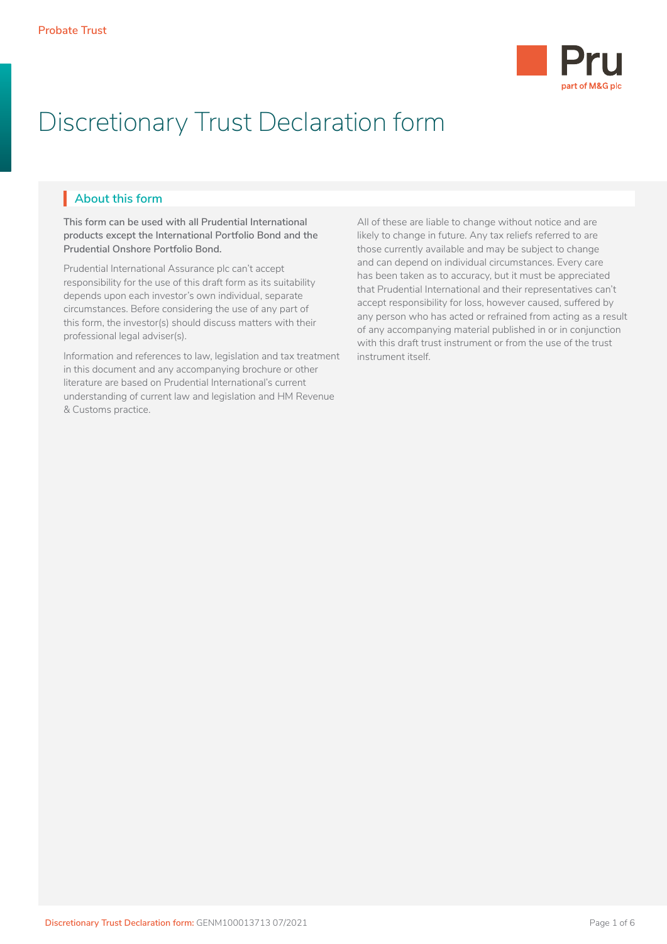

# Discretionary Trust Declaration form

# **About this form** I

**This form can be used with all Prudential International products except the International Portfolio Bond and the Prudential Onshore Portfolio Bond.** 

Prudential International Assurance plc can't accept responsibility for the use of this draft form as its suitability depends upon each investor's own individual, separate circumstances. Before considering the use of any part of this form, the investor(s) should discuss matters with their professional legal adviser(s).

Information and references to law, legislation and tax treatment in this document and any accompanying brochure or other literature are based on Prudential International's current understanding of current law and legislation and HM Revenue & Customs practice.

All of these are liable to change without notice and are likely to change in future. Any tax reliefs referred to are those currently available and may be subject to change and can depend on individual circumstances. Every care has been taken as to accuracy, but it must be appreciated that Prudential International and their representatives can't accept responsibility for loss, however caused, suffered by any person who has acted or refrained from acting as a result of any accompanying material published in or in conjunction with this draft trust instrument or from the use of the trust instrument itself.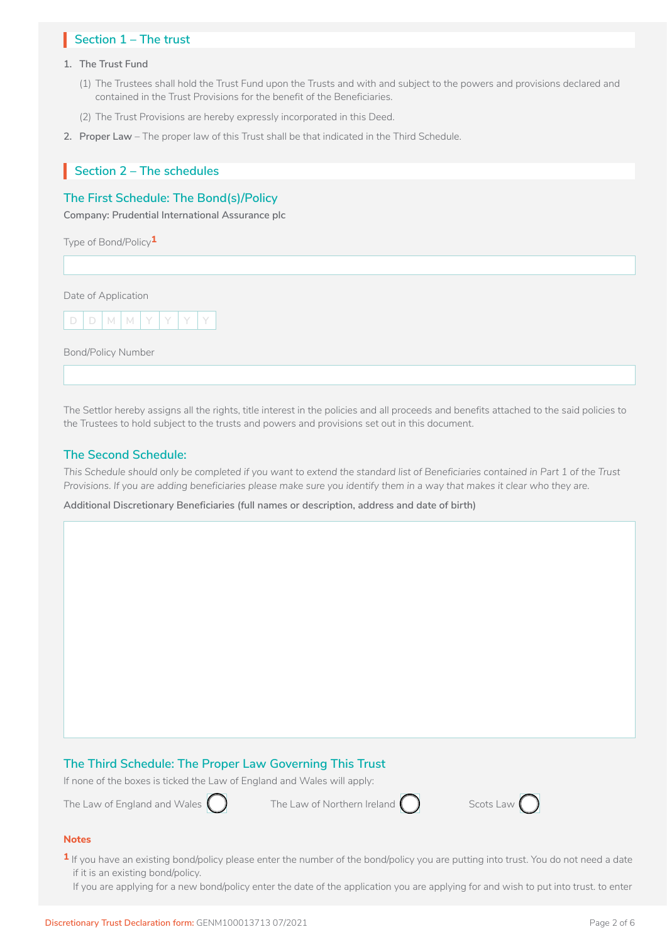# Section 1 – The trust

#### **1. The Trust Fund**

- (1) The Trustees shall hold the Trust Fund upon the Trusts and with and subject to the powers and provisions declared and contained in the Trust Provisions for the benefit of the Beneficiaries.
- (2) The Trust Provisions are hereby expressly incorporated in this Deed.
- **2. Proper Law** The proper law of this Trust shall be that indicated in the Third Schedule.

# **Section 2 – The schedules** I

# **The First Schedule: The Bond(s)/Policy**

**Company: Prudential International Assurance plc**

Type of Bond/Policy**1**

Date of Application



Bond/Policy Number

The Settlor hereby assigns all the rights, title interest in the policies and all proceeds and benefits attached to the said policies to the Trustees to hold subject to the trusts and powers and provisions set out in this document.

# **The Second Schedule:**

*This Schedule should only be completed if you want to extend the standard list of Beneficiaries contained in Part 1 of the Trust Provisions. If you are adding beneficiaries please make sure you identify them in a way that makes it clear who they are.*

**Additional Discretionary Beneficiaries (full names or description, address and date of birth)**

# **The Third Schedule: The Proper Law Governing This Trust**

If none of the boxes is ticked the Law of England and Wales will apply:

The Law of England and Wales  $\bigcap$  The Law of Northern Ireland  $\bigcap$  Scots Law  $\bigcap$ 





# **Notes**

- **1** If you have an existing bond/policy please enter the number of the bond/policy you are putting into trust. You do not need a date if it is an existing bond/policy.
	- If you are applying for a new bond/policy enter the date of the application you are applying for and wish to put into trust. to enter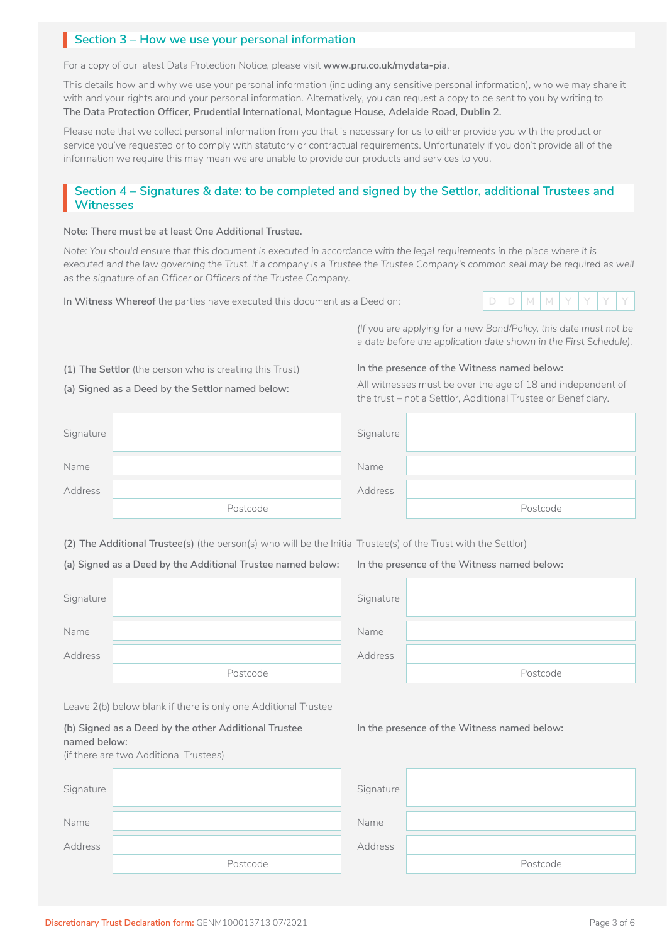# **Section 3 – How we use your personal information**

For a copy of our latest Data Protection Notice, please visit **www.pru.co.uk/mydata-pia**.

This details how and why we use your personal information (including any sensitive personal information), who we may share it with and your rights around your personal information. Alternatively, you can request a copy to be sent to you by writing to **The Data Protection Officer, Prudential International, Montague House, Adelaide Road, Dublin 2.** 

Please note that we collect personal information from you that is necessary for us to either provide you with the product or service you've requested or to comply with statutory or contractual requirements. Unfortunately if you don't provide all of the information we require this may mean we are unable to provide our products and services to you.

# **Section 4 – Signatures & date: to be completed and signed by the Settlor, additional Trustees and Witnesses**

#### **Note: There must be at least One Additional Trustee.**

*Note: You should ensure that this document is executed in accordance with the legal requirements in the place where it is* executed and the law governing the Trust. If a company is a Trustee the Trustee Company's common seal may be required as well *as the signature of an Officer or Officers of the Trustee Company.* 

**In Witness Whereof** the parties have executed this document as a Deed on: **D D M M Y Y Y Y**



*(If you are applying for a new Bond/Policy, this date must not be a date before the application date shown in the First Schedule).*

**(1) The Settlor** (the person who is creating this Trust)

#### **(a) Signed as a Deed by the Settlor named below:**

# **In the presence of the Witness named below:**

All witnesses must be over the age of 18 and independent of the trust – not a Settlor, Additional Trustee or Beneficiary.

| Signature |          | Signature |          |
|-----------|----------|-----------|----------|
| Name      |          | Name      |          |
| Address   |          | Address   |          |
|           | Postcode |           | Postcode |

**(2) The Additional Trustee(s)** (the person(s) who will be the Initial Trustee(s) of the Trust with the Settlor)

**(a) Signed as a Deed by the Additional Trustee named below:**

| Signature |          |  |
|-----------|----------|--|
| Name      |          |  |
| Address   |          |  |
|           | Postcode |  |

**In the presence of the Witness named below:**

**In the presence of the Witness named below:** 

| Signature |          |
|-----------|----------|
| Name      |          |
| Address   |          |
|           | Postcode |

Leave 2(b) below blank if there is only one Additional Trustee

**(b) Signed as a Deed by the other Additional Trustee named below:** 

(if there are two Additional Trustees)

| Signature |          | Signature |          |
|-----------|----------|-----------|----------|
| Name      |          | Name      |          |
| Address   |          | Address   |          |
|           | Postcode |           | Postcode |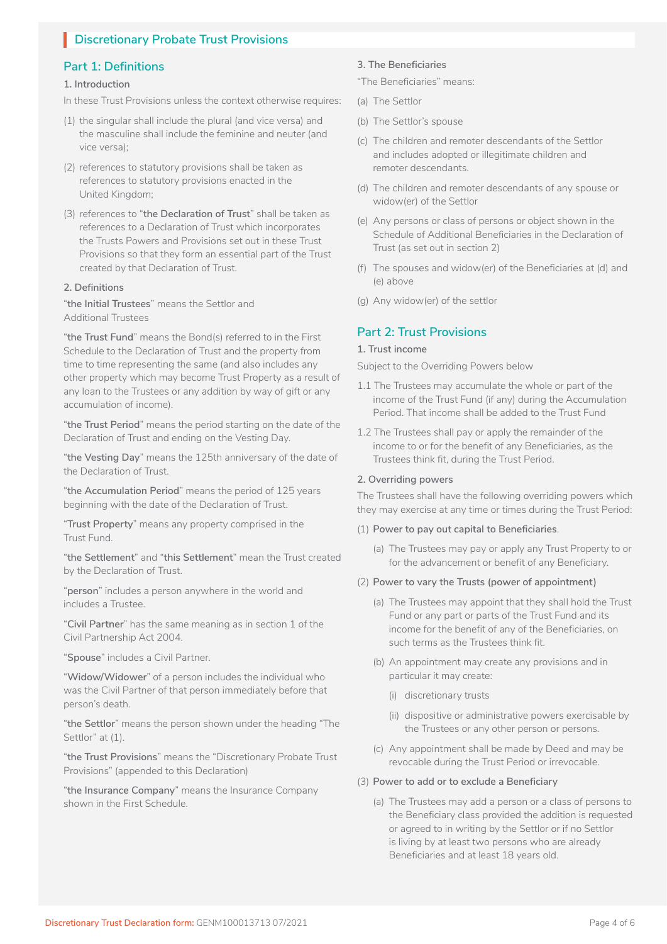# **I** Discretionary Probate Trust Provisions

# **Part 1: Definitions**

# **1. Introduction**

- In these Trust Provisions unless the context otherwise requires:
- (1) the singular shall include the plural (and vice versa) and the masculine shall include the feminine and neuter (and vice versa);
- (2) references to statutory provisions shall be taken as references to statutory provisions enacted in the United Kingdom;
- (3) references to "**the Declaration of Trust**" shall be taken as references to a Declaration of Trust which incorporates the Trusts Powers and Provisions set out in these Trust Provisions so that they form an essential part of the Trust created by that Declaration of Trust.

# **2. Definitions**

"**the Initial Trustees**" means the Settlor and Additional Trustees

"**the Trust Fund**" means the Bond(s) referred to in the First Schedule to the Declaration of Trust and the property from time to time representing the same (and also includes any other property which may become Trust Property as a result of any loan to the Trustees or any addition by way of gift or any accumulation of income).

"**the Trust Period**" means the period starting on the date of the Declaration of Trust and ending on the Vesting Day.

"**the Vesting Day**" means the 125th anniversary of the date of the Declaration of Trust.

"**the Accumulation Period**" means the period of 125 years beginning with the date of the Declaration of Trust.

"**Trust Property**" means any property comprised in the Trust Fund.

"**the Settlement**" and "**this Settlement**" mean the Trust created by the Declaration of Trust.

"**person**" includes a person anywhere in the world and includes a Trustee.

"**Civil Partner**" has the same meaning as in section 1 of the Civil Partnership Act 2004.

"**Spouse**" includes a Civil Partner.

"**Widow/Widower**" of a person includes the individual who was the Civil Partner of that person immediately before that person's death.

"**the Settlor**" means the person shown under the heading "The Settlor" at (1).

"**the Trust Provisions**" means the "Discretionary Probate Trust Provisions" (appended to this Declaration)

"**the Insurance Company**" means the Insurance Company shown in the First Schedule.

## **3. The Beneficiaries**

"The Beneficiaries" means:

- (a) The Settlor
- (b) The Settlor's spouse
- (c) The children and remoter descendants of the Settlor and includes adopted or illegitimate children and remoter descendants.
- (d) The children and remoter descendants of any spouse or widow(er) of the Settlor
- (e) Any persons or class of persons or object shown in the Schedule of Additional Beneficiaries in the Declaration of Trust (as set out in section 2)
- (f) The spouses and widow(er) of the Beneficiaries at (d) and (e) above
- (g) Any widow(er) of the settlor

# **Part 2: Trust Provisions**

# **1. Trust income**

Subject to the Overriding Powers below

- 1.1 The Trustees may accumulate the whole or part of the income of the Trust Fund (if any) during the Accumulation Period. That income shall be added to the Trust Fund
- 1.2 The Trustees shall pay or apply the remainder of the income to or for the benefit of any Beneficiaries, as the Trustees think fit, during the Trust Period.

#### **2. Overriding powers**

The Trustees shall have the following overriding powers which they may exercise at any time or times during the Trust Period:

#### (1) **Power to pay out capital to Beneficiaries**.

- (a) The Trustees may pay or apply any Trust Property to or for the advancement or benefit of any Beneficiary.
- (2) **Power to vary the Trusts (power of appointment)**
	- (a) The Trustees may appoint that they shall hold the Trust Fund or any part or parts of the Trust Fund and its income for the benefit of any of the Beneficiaries, on such terms as the Trustees think fit.
	- (b) An appointment may create any provisions and in particular it may create:
		- (i) discretionary trusts
		- (ii) dispositive or administrative powers exercisable by the Trustees or any other person or persons.
	- (c) Any appointment shall be made by Deed and may be revocable during the Trust Period or irrevocable.

#### (3) **Power to add or to exclude a Beneficiary**

(a) The Trustees may add a person or a class of persons to the Beneficiary class provided the addition is requested or agreed to in writing by the Settlor or if no Settlor is living by at least two persons who are already Beneficiaries and at least 18 years old.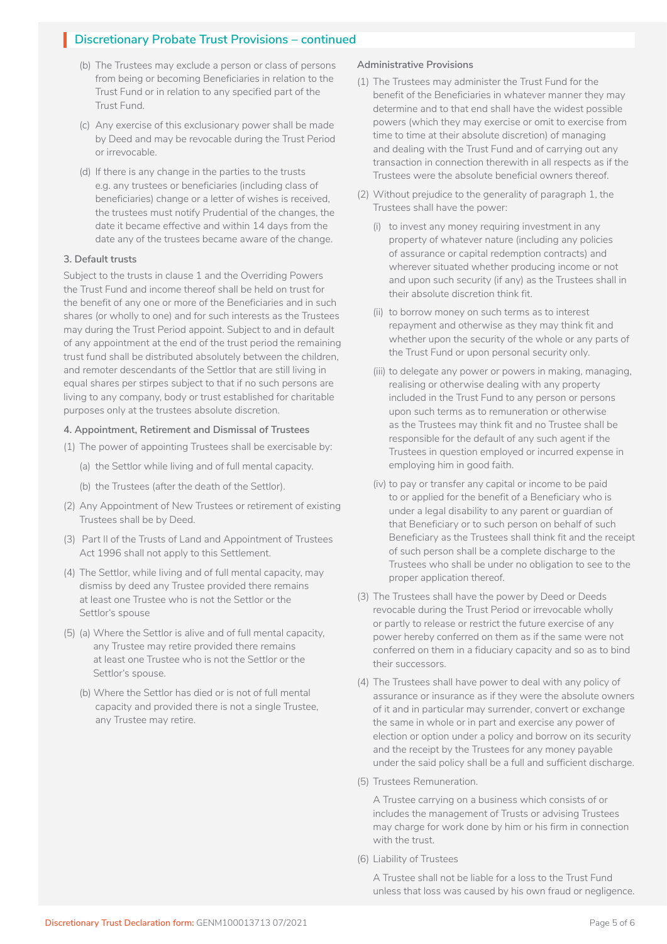# **I** Discretionary Probate Trust Provisions – continued

- (b) The Trustees may exclude a person or class of persons from being or becoming Beneficiaries in relation to the Trust Fund or in relation to any specified part of the Trust Fund.
- (c) Any exercise of this exclusionary power shall be made by Deed and may be revocable during the Trust Period or irrevocable.
- (d) If there is any change in the parties to the trusts e.g. any trustees or beneficiaries (including class of beneficiaries) change or a letter of wishes is received, the trustees must notify Prudential of the changes, the date it became effective and within 14 days from the date any of the trustees became aware of the change.

# **3. Default trusts**

Subject to the trusts in clause 1 and the Overriding Powers the Trust Fund and income thereof shall be held on trust for the benefit of any one or more of the Beneficiaries and in such shares (or wholly to one) and for such interests as the Trustees may during the Trust Period appoint. Subject to and in default of any appointment at the end of the trust period the remaining trust fund shall be distributed absolutely between the children, and remoter descendants of the Settlor that are still living in equal shares per stirpes subject to that if no such persons are living to any company, body or trust established for charitable purposes only at the trustees absolute discretion.

# **4. Appointment, Retirement and Dismissal of Trustees**

- (1) The power of appointing Trustees shall be exercisable by:
	- (a) the Settlor while living and of full mental capacity.
	- (b) the Trustees (after the death of the Settlor).
- (2) Any Appointment of New Trustees or retirement of existing Trustees shall be by Deed.
- (3) Part II of the Trusts of Land and Appointment of Trustees Act 1996 shall not apply to this Settlement.
- (4) The Settlor, while living and of full mental capacity, may dismiss by deed any Trustee provided there remains at least one Trustee who is not the Settlor or the Settlor's spouse
- (5) (a) Where the Settlor is alive and of full mental capacity, any Trustee may retire provided there remains at least one Trustee who is not the Settlor or the Settlor's spouse.
	- (b) Where the Settlor has died or is not of full mental capacity and provided there is not a single Trustee, any Trustee may retire.

#### **Administrative Provisions**

- (1) The Trustees may administer the Trust Fund for the benefit of the Beneficiaries in whatever manner they may determine and to that end shall have the widest possible powers (which they may exercise or omit to exercise from time to time at their absolute discretion) of managing and dealing with the Trust Fund and of carrying out any transaction in connection therewith in all respects as if the Trustees were the absolute beneficial owners thereof.
- (2) Without prejudice to the generality of paragraph 1, the Trustees shall have the power:
	- (i) to invest any money requiring investment in any property of whatever nature (including any policies of assurance or capital redemption contracts) and wherever situated whether producing income or not and upon such security (if any) as the Trustees shall in their absolute discretion think fit.
	- (ii) to borrow money on such terms as to interest repayment and otherwise as they may think fit and whether upon the security of the whole or any parts of the Trust Fund or upon personal security only.
	- (iii) to delegate any power or powers in making, managing, realising or otherwise dealing with any property included in the Trust Fund to any person or persons upon such terms as to remuneration or otherwise as the Trustees may think fit and no Trustee shall be responsible for the default of any such agent if the Trustees in question employed or incurred expense in employing him in good faith.
	- (iv) to pay or transfer any capital or income to be paid to or applied for the benefit of a Beneficiary who is under a legal disability to any parent or guardian of that Beneficiary or to such person on behalf of such Beneficiary as the Trustees shall think fit and the receipt of such person shall be a complete discharge to the Trustees who shall be under no obligation to see to the proper application thereof.
- (3) The Trustees shall have the power by Deed or Deeds revocable during the Trust Period or irrevocable wholly or partly to release or restrict the future exercise of any power hereby conferred on them as if the same were not conferred on them in a fiduciary capacity and so as to bind their successors.
- (4) The Trustees shall have power to deal with any policy of assurance or insurance as if they were the absolute owners of it and in particular may surrender, convert or exchange the same in whole or in part and exercise any power of election or option under a policy and borrow on its security and the receipt by the Trustees for any money payable under the said policy shall be a full and sufficient discharge.
- (5) Trustees Remuneration.

A Trustee carrying on a business which consists of or includes the management of Trusts or advising Trustees may charge for work done by him or his firm in connection with the trust.

(6) Liability of Trustees

A Trustee shall not be liable for a loss to the Trust Fund unless that loss was caused by his own fraud or negligence.